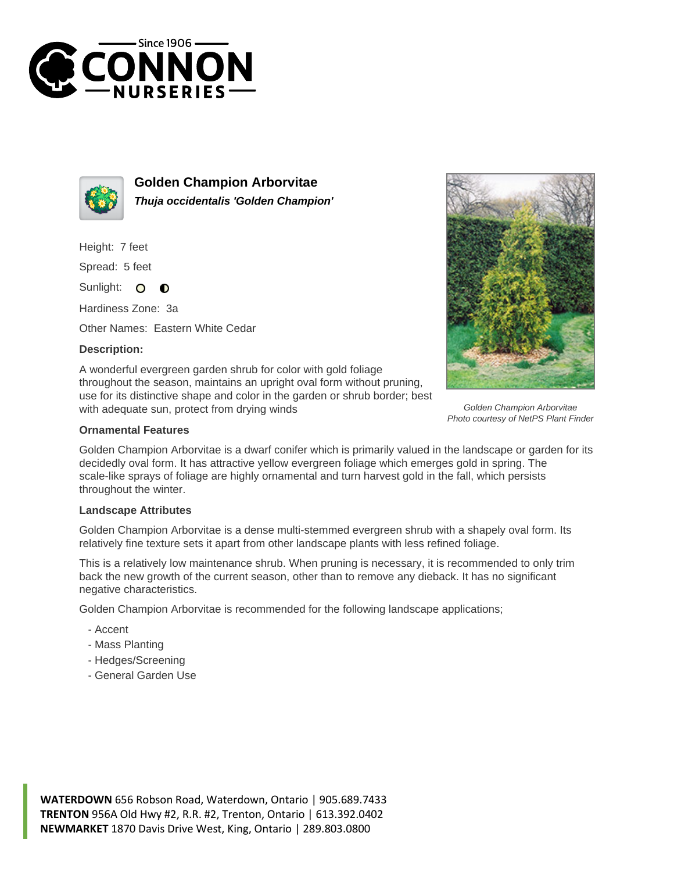



**Golden Champion Arborvitae Thuja occidentalis 'Golden Champion'**

Height: 7 feet

Spread: 5 feet

Sunlight: O  $\bullet$ 

Hardiness Zone: 3a

Other Names: Eastern White Cedar

## **Description:**

A wonderful evergreen garden shrub for color with gold foliage throughout the season, maintains an upright oval form without pruning, use for its distinctive shape and color in the garden or shrub border; best with adequate sun, protect from drying winds



Golden Champion Arborvitae Photo courtesy of NetPS Plant Finder

## **Ornamental Features**

Golden Champion Arborvitae is a dwarf conifer which is primarily valued in the landscape or garden for its decidedly oval form. It has attractive yellow evergreen foliage which emerges gold in spring. The scale-like sprays of foliage are highly ornamental and turn harvest gold in the fall, which persists throughout the winter.

## **Landscape Attributes**

Golden Champion Arborvitae is a dense multi-stemmed evergreen shrub with a shapely oval form. Its relatively fine texture sets it apart from other landscape plants with less refined foliage.

This is a relatively low maintenance shrub. When pruning is necessary, it is recommended to only trim back the new growth of the current season, other than to remove any dieback. It has no significant negative characteristics.

Golden Champion Arborvitae is recommended for the following landscape applications;

- Accent
- Mass Planting
- Hedges/Screening
- General Garden Use

**WATERDOWN** 656 Robson Road, Waterdown, Ontario | 905.689.7433 **TRENTON** 956A Old Hwy #2, R.R. #2, Trenton, Ontario | 613.392.0402 **NEWMARKET** 1870 Davis Drive West, King, Ontario | 289.803.0800